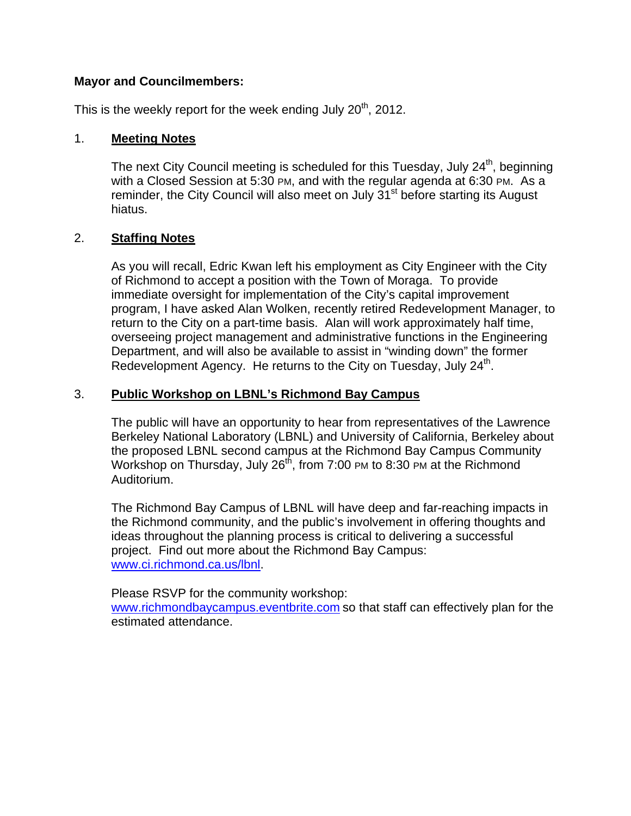## **Mayor and Councilmembers:**

This is the weekly report for the week ending July  $20<sup>th</sup>$ , 2012.

## 1. **Meeting Notes**

The next City Council meeting is scheduled for this Tuesday, July 24<sup>th</sup>, beginning with a Closed Session at 5:30 PM, and with the regular agenda at 6:30 PM. As a reminder, the City Council will also meet on July 31<sup>st</sup> before starting its August hiatus.

## 2. **Staffing Notes**

As you will recall, Edric Kwan left his employment as City Engineer with the City of Richmond to accept a position with the Town of Moraga. To provide immediate oversight for implementation of the City's capital improvement program, I have asked Alan Wolken, recently retired Redevelopment Manager, to return to the City on a part-time basis. Alan will work approximately half time, overseeing project management and administrative functions in the Engineering Department, and will also be available to assist in "winding down" the former Redevelopment Agency. He returns to the City on Tuesday, July 24<sup>th</sup>.

# 3. **Public Workshop on LBNL's Richmond Bay Campus**

The public will have an opportunity to hear from representatives of the Lawrence Berkeley National Laboratory (LBNL) and University of California, Berkeley about the proposed LBNL second campus at the Richmond Bay Campus Community Workshop on Thursday, July  $26<sup>th</sup>$ , from 7:00 PM to 8:30 PM at the Richmond Auditorium.

The Richmond Bay Campus of LBNL will have deep and far-reaching impacts in the Richmond community, and the public's involvement in offering thoughts and ideas throughout the planning process is critical to delivering a successful project. Find out more about the Richmond Bay Campus: www.ci.richmond.ca.us/lbnl.

Please RSVP for the community workshop:

www.richmondbaycampus.eventbrite.com so that staff can effectively plan for the estimated attendance.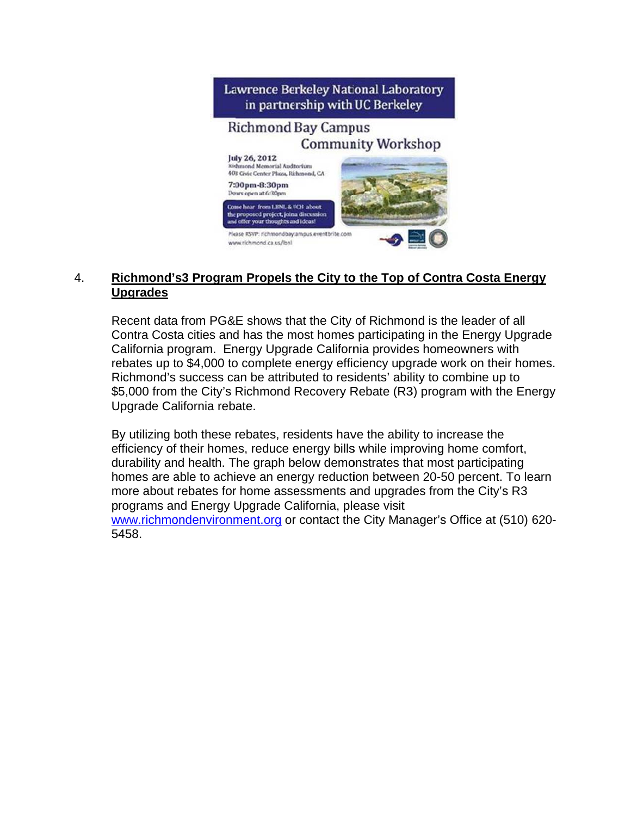

## 4. **R U Upgrades Richmond's3 Program Propels the City to the Top of Contra Costa Energy**

Recent data from PG&E shows that the City of Richmond is the leader of all Contra Costa cities and has the most homes participating in the Energy Upgrade California program. Energy Upgrade California provides homeowners with rebates up to \$4,000 to complete energy efficiency upgrade work on their homes. Richmond's success can be attributed to residents' ability to combine up to \$5,000 from the City's Richmond Recovery Rebate (R3) program with the Energy Upgrade California rebate.

By utilizing both these rebates, residents have the ability to increase the efficiency of their homes, reduce energy bills while improving home comfort, durability and health. The graph below demonstrates that most participating homes are able to achieve an energy reduction between 20-50 percent. To learn more about rebates for home assessments and upgrades from the City's R3 programs and Energy Upgrade California, please visit www.richmondenvironment.org or contact the City Manager's Office at (510) 620-5 458.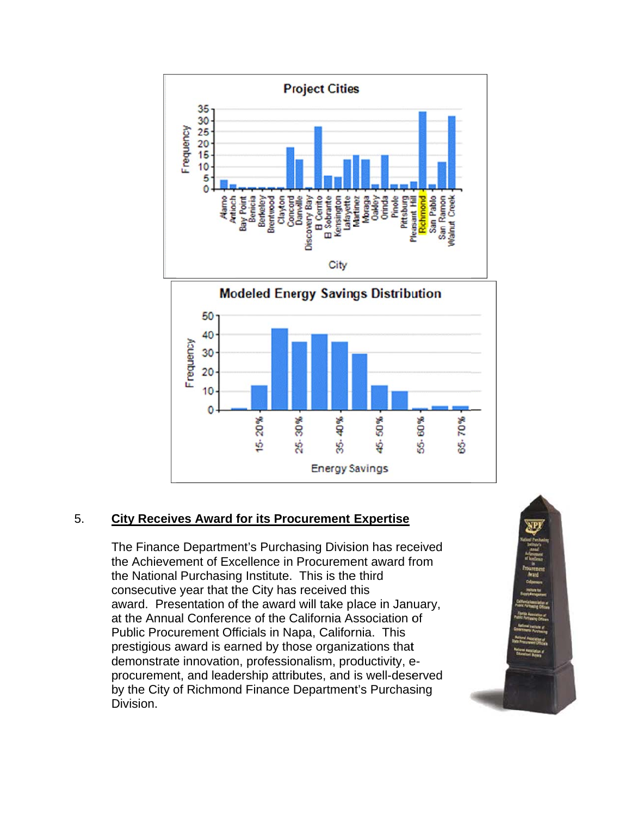

### 5. **City Receives Award for its Procurement Expertise**

The Finance Department's Purchasing Division has received the Achievement of Excellence in Procurement award from the National Purchasing Institute. This is the third consecutive year that the City has received this award. Presentation of the award will take place in January, at the Annual Conference of the California Association of Public Procurement Officials in Napa, California. This prestigious award is earned by those organizations that demonstrate innovation, professionalism, productivity, eprocurement, and leadership attributes, and is well-deserved by the City of Richmond Finance Department's Purchasing Division.

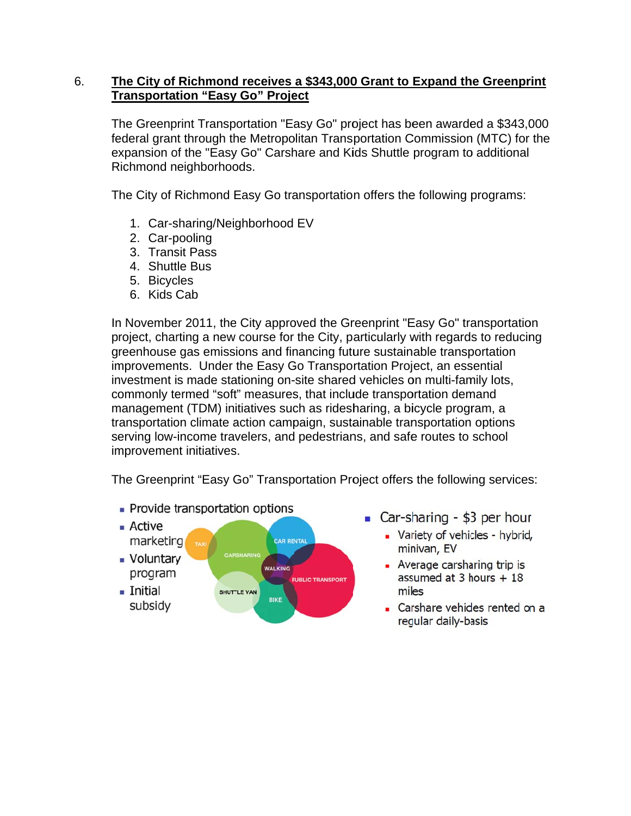### 6. The City of Richmond receives a \$343,000 Grant to Expand the Greenprint **Transportation "Easy Go" Project**

The Greenprint Transportation "Easy Go" project has been awarded a \$343,000 federal grant through the Metropolitan Transportation Commission (MTC) for the expansion of the "Easy Go" Carshare and Kids Shuttle program to additional Richmond neighborhoods.

The City of Richmond Easy Go transportation offers the following programs:

- 1. Car-sharing/Neighborhood EV
- 2. Car-pooling
- 3. Transit Pass
- 4. Shuttle Bus
- 5. Bicycles
- 6. Kids Cab

In November 2011, the City approved the Greenprint "Easy Go" transportation project, charting a new course for the City, particularly with regards to reducing greenhouse gas emissions and financing future sustainable transportation improvements. Under the Easy Go Transportation Project, an essential investment is made stationing on-site shared vehicles on multi-family lots, commonly termed "soft" measures, that include transportation demand management (TDM) initiatives such as ridesharing, a bicycle program, a transportation climate action campaign, sustainable transportation options serving low-income travelers, and pedestrians, and safe routes to school improvement initiatives.

The Greenprint "Easy Go" Transportation Project offers the following services:

• Provide transportation options



- Car-sharing \$3 per hour
	- Variety of vehicles hybrid, minivan, EV
	- Average carsharing trip is assumed at 3 hours  $+18$ miles
	- Carshare vehicles rented on a regular daily-basis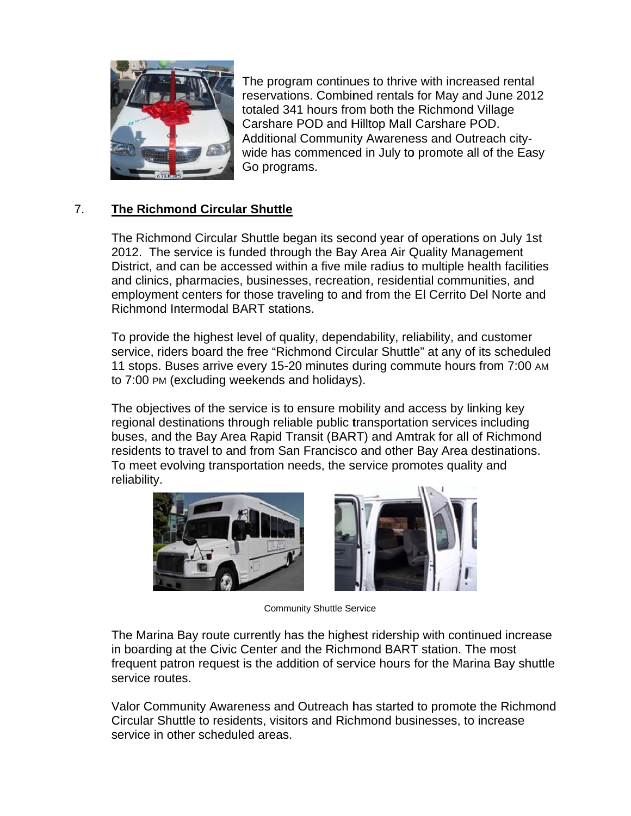

The program continues to thrive with increased rental reservations. Combined rentals for May and June 2012 totaled 341 hours from both the Richmond Village Carshare POD and Hilltop Mall Carshare POD. Additional Community Awareness and Outreach citywide has commenced in July to promote all of the Easy Go programs.

### $7.$ **The Richmond Circular Shuttle**

The Richmond Circular Shuttle began its second year of operations on July 1st 2012. The service is funded through the Bay Area Air Quality Management District, and can be accessed within a five mile radius to multiple health facilities and clinics, pharmacies, businesses, recreation, residential communities, and employment centers for those traveling to and from the El Cerrito Del Norte and Richmond Intermodal BART stations.

To provide the highest level of quality, dependability, reliability, and customer service, riders board the free "Richmond Circular Shuttle" at any of its scheduled 11 stops. Buses arrive every 15-20 minutes during commute hours from 7:00 AM to 7:00 PM (excluding weekends and holidays).

The objectives of the service is to ensure mobility and access by linking key regional destinations through reliable public transportation services including buses, and the Bay Area Rapid Transit (BART) and Amtrak for all of Richmond residents to travel to and from San Francisco and other Bay Area destinations. To meet evolving transportation needs, the service promotes quality and reliability.





**Community Shuttle Service** 

The Marina Bay route currently has the highest ridership with continued increase in boarding at the Civic Center and the Richmond BART station. The most frequent patron request is the addition of service hours for the Marina Bay shuttle service routes.

Valor Community Awareness and Outreach has started to promote the Richmond Circular Shuttle to residents, visitors and Richmond businesses, to increase service in other scheduled areas.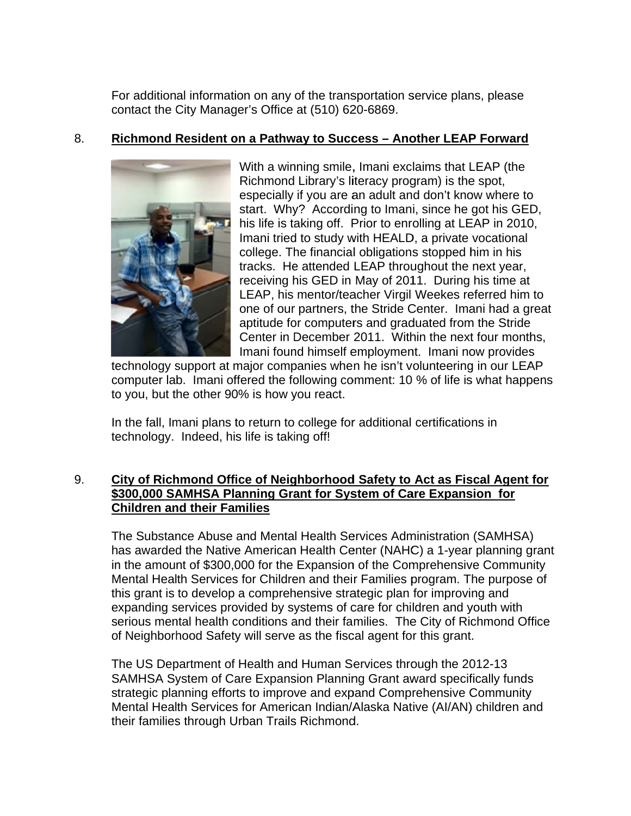For additional information on any of the transportation service plans, please contact the City Manager's Office at (510) 620-6869.

### 8. Richmond Resident on a Pathway to Success - Another LEAP Forward



With a winning smile, Imani exclaims that LEAP (the Richmond Library's literacy program) is the spot, especially if you are an adult and don't know where to start. Why? According to Imani, since he got his GED, his life is taking off. Prior to enrolling at LEAP in 2010, Imani tried to study with HEALD, a private vocational college. The financial obligations stopped him in his tracks. He attended LEAP throughout the next year, receiving his GED in May of 2011. During his time at LEAP, his mentor/teacher Virgil Weekes referred him to one of our partners, the Stride Center. Imani had a great aptitude for computers and graduated from the Stride Center in December 2011. Within the next four months, Imani found himself employment. Imani now provides

technology support at major companies when he isn't volunteering in our LEAP computer lab. Imani offered the following comment: 10 % of life is what happens to you, but the other 90% is how you react.

In the fall, Imani plans to return to college for additional certifications in technology. Indeed, his life is taking off!

## 9. City of Richmond Office of Neighborhood Safety to Act as Fiscal Agent for \$300,000 SAMHSA Planning Grant for System of Care Expansion for **Children and their Families**

The Substance Abuse and Mental Health Services Administration (SAMHSA) has awarded the Native American Health Center (NAHC) a 1-year planning grant in the amount of \$300,000 for the Expansion of the Comprehensive Community Mental Health Services for Children and their Families program. The purpose of this arant is to develop a comprehensive strategic plan for improving and expanding services provided by systems of care for children and youth with serious mental health conditions and their families. The City of Richmond Office of Neighborhood Safety will serve as the fiscal agent for this grant.

The US Department of Health and Human Services through the 2012-13 SAMHSA System of Care Expansion Planning Grant award specifically funds strategic planning efforts to improve and expand Comprehensive Community Mental Health Services for American Indian/Alaska Native (AI/AN) children and their families through Urban Trails Richmond.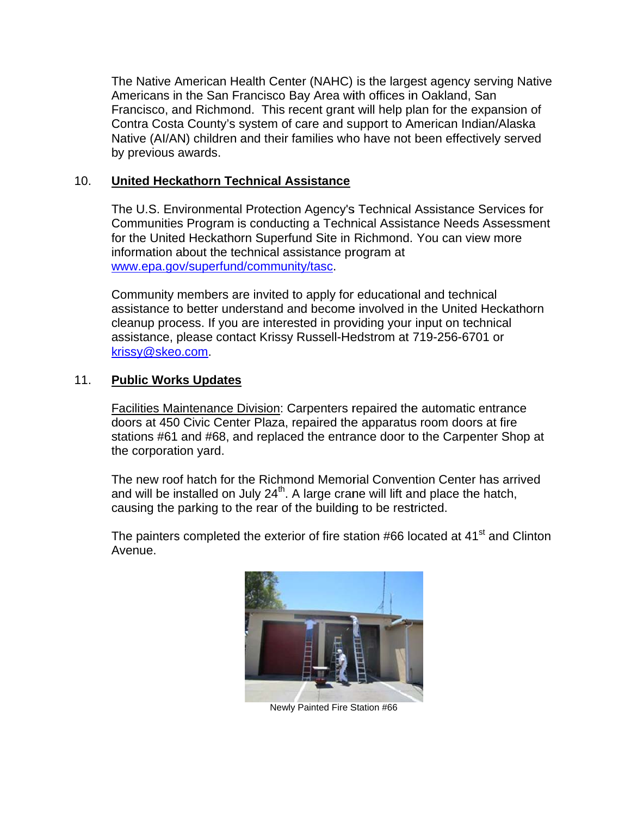The Native American Health Center (NAHC) is the largest agency serving Native Americans in the San Francisco Bay Area with offices in Oakland, San Francisco, and Richmond. This recent grant will help plan for the expansion of Contra Costa County's system of care and support to American Indian/Alaska Native (AI/AN) children and their families who have not been effectively served by previous awards.

#### $10.$ **United Heckathorn Technical Assistance**

The U.S. Environmental Protection Agency's Technical Assistance Services for Communities Program is conducting a Technical Assistance Needs Assessment for the United Heckathorn Superfund Site in Richmond. You can view more information about the technical assistance program at www.epa.gov/superfund/community/tasc.

Community members are invited to apply for educational and technical assistance to better understand and become involved in the United Heckathorn cleanup process. If you are interested in providing your input on technical assistance, please contact Krissy Russell-Hedstrom at 719-256-6701 or krissy@skeo.com.

#### $11.$ **Public Works Updates**

Facilities Maintenance Division: Carpenters repaired the automatic entrance doors at 450 Civic Center Plaza, repaired the apparatus room doors at fire stations #61 and #68, and replaced the entrance door to the Carpenter Shop at the corporation yard.

The new roof hatch for the Richmond Memorial Convention Center has arrived and will be installed on July  $24<sup>th</sup>$ . A large crane will lift and place the hatch, causing the parking to the rear of the building to be restricted.

The painters completed the exterior of fire station #66 located at 41<sup>st</sup> and Clinton Avenue.



Newly Painted Fire Station #66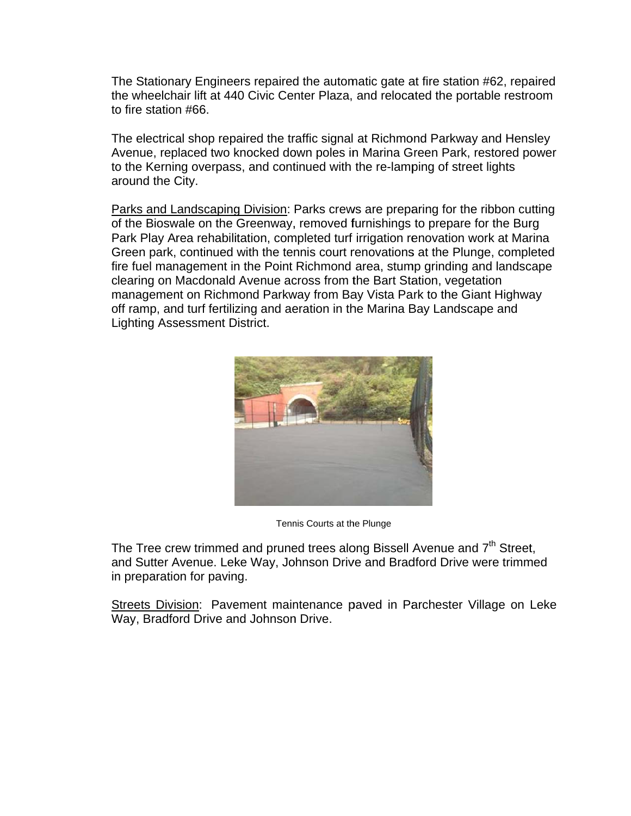The Stationary Engineers repaired the automatic gate at fire station #62, repaired the wheelchair lift at 440 Civic Center Plaza, and relocated the portable restroom to fire station #66.

The electrical shop repaired the traffic signal at Richmond Parkway and Hensley Avenue, replaced two knocked down poles in Marina Green Park, restored power to the Kerning overpass, and continued with the re-lamping of street lights around the City.

Parks and Landscaping Division: Parks crews are preparing for the ribbon cutting of the Bioswale on the Greenway, removed furnishings to prepare for the Burg Park Play Area rehabilitation, completed turf irrigation renovation work at Marina Green park, continued with the tennis court renovations at the Plunge, completed fire fuel management in the Point Richmond area, stump grinding and landscape clearing on Macdonald Avenue across from the Bart Station, vegetation management on Richmond Parkway from Bay Vista Park to the Giant Highway off ramp, and turf fertilizing and aeration in the Marina Bay Landscape and **Lighting Assessment District.** 



Tennis Courts at the Plunge

The Tree crew trimmed and pruned trees along Bissell Avenue and 7<sup>th</sup> Street, and Sutter Avenue. Leke Way, Johnson Drive and Bradford Drive were trimmed in preparation for paving.

Streets Division: Pavement maintenance paved in Parchester Village on Leke Way, Bradford Drive and Johnson Drive.